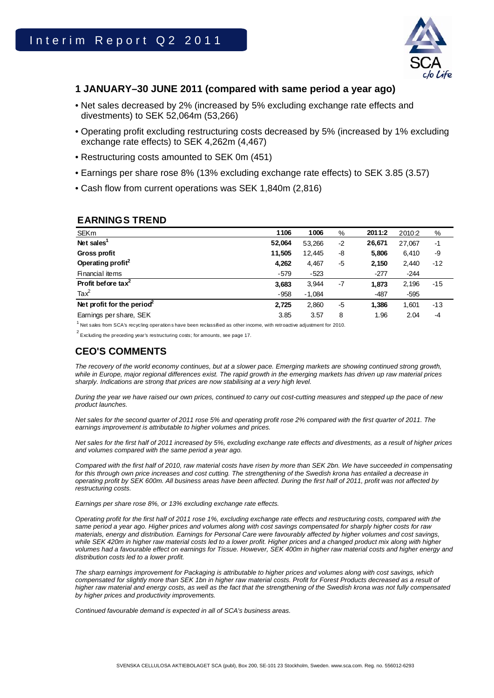

## **1 JANUARY–30 JUNE 2011 (compared with same period a year ago)**

- Net sales decreased by 2% (increased by 5% excluding exchange rate effects and divestments) to SEK 52,064m (53,266)
- Operating profit excluding restructuring costs decreased by 5% (increased by 1% excluding exchange rate effects) to SEK 4,262m (4,467)
- Restructuring costs amounted to SEK 0m (451)
- Earnings per share rose 8% (13% excluding exchange rate effects) to SEK 3.85 (3.57)
- Cash flow from current operations was SEK 1,840m (2,816)

### **EARNINGS TREND**

| <b>SEKm</b>                    | 1106   | 1006     | %    | 2011:2 | 2010:2 | %     |  |
|--------------------------------|--------|----------|------|--------|--------|-------|--|
| Net sales <sup>1</sup>         | 52,064 | 53.266   | $-2$ | 26,671 | 27.067 | $-1$  |  |
| <b>Gross profit</b>            | 11,505 | 12,445   | -8   | 5,806  | 6,410  | -9    |  |
| Operating profit <sup>2</sup>  | 4,262  | 4,467    | -5   | 2,150  | 2,440  | $-12$ |  |
| Financial items                | $-579$ | $-523$   |      | $-277$ | $-244$ |       |  |
| Profit before tax <sup>2</sup> | 3,683  | 3,944    | -7   | 1,873  | 2,196  | $-15$ |  |
| $\text{Tax}^2$                 | $-958$ | $-1,084$ |      | $-487$ | $-595$ |       |  |
| Net profit for the period      | 2,725  | 2,860    | -5   | 1,386  | 1,601  | $-13$ |  |
| Earnings per share, SEK        | 3.85   | 3.57     | 8    | 1.96   | 2.04   | $-4$  |  |

 $1$  Net sales from SCA's recycling operations have been reclassified as other income, with retroactive adjustment for 2010.

 $2^{2}$  Excluding the preceding year's restructuring costs; for amounts, see page 17.

# **CEO'S COMMENTS**

The recovery of the world economy continues, but at a slower pace. Emerging markets are showing continued strong growth, *while in Europe, major regional differences exist. The rapid growth in the emerging markets has driven up raw material prices sharply. Indications are strong that prices are now stabilising at a very high level.* 

*During the year we have raised our own prices, continued to carry out cost-cutting measures and stepped up the pace of new product launches.* 

*Net sales for the second quarter of 2011 rose 5% and operating profit rose 2% compared with the first quarter of 2011. The earnings improvement is attributable to higher volumes and prices.* 

*Net sales for the first half of 2011 increased by 5%, excluding exchange rate effects and divestments, as a result of higher prices and volumes compared with the same period a year ago.* 

*Compared with the first half of 2010, raw material costs have risen by more than SEK 2bn. We have succeeded in compensating*  for this through own price increases and cost cutting. The strengthening of the Swedish krona has entailed a decrease in *operating profit by SEK 600m. All business areas have been affected. During the first half of 2011, profit was not affected by restructuring costs.* 

*Earnings per share rose 8%, or 13% excluding exchange rate effects.* 

*Operating profit for the first half of 2011 rose 1%, excluding exchange rate effects and restructuring costs, compared with the same period a year ago. Higher prices and volumes along with cost savings compensated for sharply higher costs for raw materials, energy and distribution. Earnings for Personal Care were favourably affected by higher volumes and cost savings,*  while SEK 420m in higher raw material costs led to a lower profit. Higher prices and a changed product mix along with higher volumes had a favourable effect on earnings for Tissue. However, SEK 400m in higher raw material costs and higher energy and *distribution costs led to a lower profit.* 

*The sharp earnings improvement for Packaging is attributable to higher prices and volumes along with cost savings, which compensated for slightly more than SEK 1bn in higher raw material costs. Profit for Forest Products decreased as a result of higher raw material and energy costs, as well as the fact that the strengthening of the Swedish krona was not fully compensated by higher prices and productivity improvements.* 

*Continued favourable demand is expected in all of SCA's business areas.*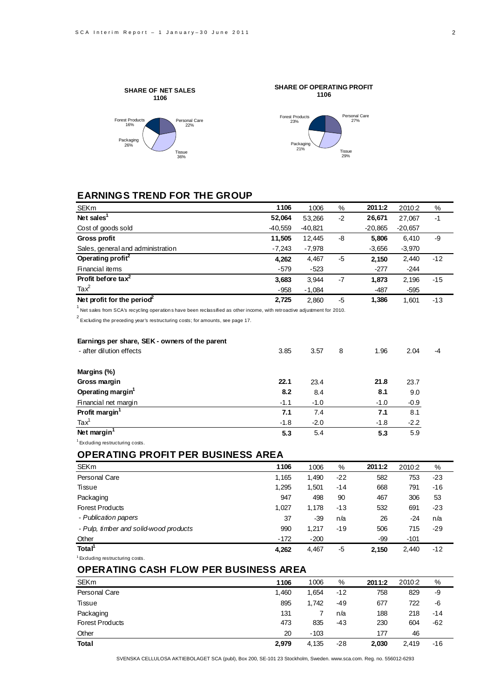

# **EARNINGS TREND FOR THE GROUP**

| <b>SEKm</b>                            | 1106      | 1006      | %    | 2011:2    | 2010:2    | %     |
|----------------------------------------|-----------|-----------|------|-----------|-----------|-------|
| Net sales <sup>1</sup>                 | 52,064    | 53.266    | $-2$ | 26,671    | 27.067    | $-1$  |
| Cost of goods sold                     | $-40,559$ | $-40,821$ |      | $-20,865$ | $-20,657$ |       |
| <b>Gross profit</b>                    | 11.505    | 12.445    | -8   | 5,806     | 6,410     | -9    |
| Sales, general and administration      | $-7,243$  | $-7,978$  |      | $-3,656$  | $-3,970$  |       |
| Operating profit <sup>2</sup>          | 4,262     | 4,467     | -5   | 2.150     | 2,440     | $-12$ |
| Financial items                        | $-579$    | $-523$    |      | $-277$    | $-244$    |       |
| Profit before tax <sup>2</sup>         | 3,683     | 3,944     | $-7$ | 1,873     | 2,196     | $-15$ |
| $\text{Tax}^2$                         | $-958$    | $-1,084$  |      | $-487$    | $-595$    |       |
| Net profit for the period <sup>2</sup> | 2,725     | 2.860     | $-5$ | 1,386     | 1.601     | -13   |

 $<sup>1</sup>$  Net sales from SCA's recycling operation shave been reclassified as other income, with retroactive adjustment for 2010.</sup>

 $2^{2}$  Excluding the preceding year's restructuring costs; for amounts, see page 17.

| Earnings per share, SEK - owners of the parent |        |        |   |        |        |      |
|------------------------------------------------|--------|--------|---|--------|--------|------|
| - after dilution effects                       | 3.85   | 3.57   | 8 | 1.96   | 2.04   | $-4$ |
| Margins (%)                                    |        |        |   |        |        |      |
| Gross margin                                   | 22.1   | 23.4   |   | 21.8   | 23.7   |      |
| Operating margin <sup>1</sup>                  | 8.2    | 8.4    |   | 8.1    | 9.0    |      |
| Financial net margin                           | $-1.1$ | $-1.0$ |   | $-1.0$ | $-0.9$ |      |
| Profit margin <sup>1</sup>                     | 7.1    | 7.4    |   | 7.1    | 8.1    |      |
| $\text{Tax}^1$                                 | $-1.8$ | $-2.0$ |   | $-1.8$ | $-2.2$ |      |
| Net margin <sup>1</sup>                        | 5.3    | 5.4    |   | 5.3    | 5.9    |      |
|                                                |        |        |   |        |        |      |

<sup>1</sup> Excluding restructuring costs.

### **OPERATING PROFIT PER BUSINESS AREA**

| <b>SEKm</b>                            | 1106   | 1006   | %     | 2011:2 | 2010:2 | %     |
|----------------------------------------|--------|--------|-------|--------|--------|-------|
| Personal Care                          | 1,165  | 1.490  | $-22$ | 582    | 753    | $-23$ |
| Tissue                                 | 1,295  | 1,501  | -14   | 668    | 791    | $-16$ |
| Packaging                              | 947    | 498    | 90    | 467    | 306    | 53    |
| <b>Forest Products</b>                 | 1.027  | 1.178  | -13   | 532    | 691    | $-23$ |
| - Publication papers                   | 37     | $-39$  | n/a   | 26     | $-24$  | n/a   |
| - Pulp, timber and solid-wood products | 990    | 1,217  | $-19$ | 506    | 715    | $-29$ |
| Other                                  | $-172$ | $-200$ |       | -99    | $-101$ |       |
| Total <sup>1</sup>                     | 4,262  | 4,467  | -5    | 2,150  | 2,440  | $-12$ |

<sup>1</sup> Excluding restructuring costs.

## **OPERATING CASH FLOW PER BUSINESS AREA**

| <b>SEKm</b>            | 1106  | 1006   | %   | 2011:2 | 2010:2 | %     |
|------------------------|-------|--------|-----|--------|--------|-------|
| Personal Care          | 1,460 | 1,654  | -12 | 758    | 829    | -9    |
| Tissue                 | 895   | 1.742  | -49 | 677    | 722    | -6    |
| Packaging              | 131   |        | n/a | 188    | 218    | $-14$ |
| <b>Forest Products</b> | 473   | 835    | -43 | 230    | 604    | -62   |
| Other                  | 20    | $-103$ |     | 177    | 46     |       |
| <b>Total</b>           | 2,979 | 4,135  | -28 | 2,030  | 2.419  | $-16$ |

SVENSKA CELLULOSA AKTIEBOLAGET SCA (publ), Box 200, SE-101 23 Stockholm, Sweden. www.sca.com. Reg. no. 556012-6293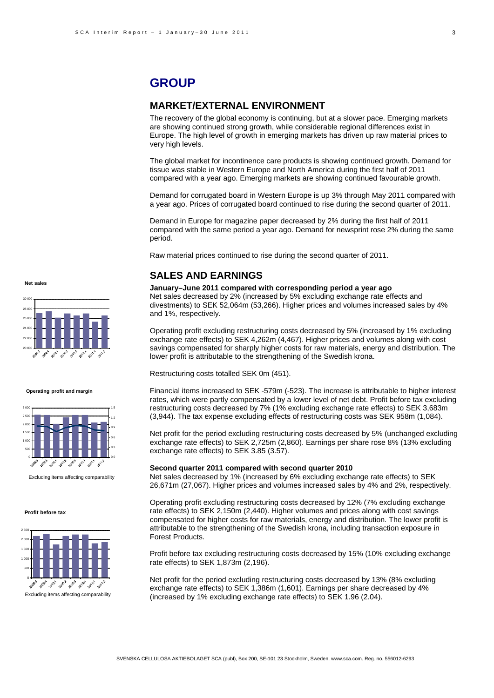# **GROUP**

### **MARKET/EXTERNAL ENVIRONMENT**

The recovery of the global economy is continuing, but at a slower pace. Emerging markets are showing continued strong growth, while considerable regional differences exist in Europe. The high level of growth in emerging markets has driven up raw material prices to very high levels.

The global market for incontinence care products is showing continued growth. Demand for tissue was stable in Western Europe and North America during the first half of 2011 compared with a year ago. Emerging markets are showing continued favourable growth.

Demand for corrugated board in Western Europe is up 3% through May 2011 compared with a year ago. Prices of corrugated board continued to rise during the second quarter of 2011.

Demand in Europe for magazine paper decreased by 2% during the first half of 2011 compared with the same period a year ago. Demand for newsprint rose 2% during the same period.

Raw material prices continued to rise during the second quarter of 2011.

### **SALES AND EARNINGS**

**January–June 2011 compared with corresponding period a year ago** Net sales decreased by 2% (increased by 5% excluding exchange rate effects and divestments) to SEK 52,064m (53,266). Higher prices and volumes increased sales by 4% and 1%, respectively.

Operating profit excluding restructuring costs decreased by 5% (increased by 1% excluding exchange rate effects) to SEK 4,262m (4,467). Higher prices and volumes along with cost savings compensated for sharply higher costs for raw materials, energy and distribution. The lower profit is attributable to the strengthening of the Swedish krona.

Restructuring costs totalled SEK 0m (451).

Financial items increased to SEK -579m (-523). The increase is attributable to higher interest rates, which were partly compensated by a lower level of net debt. Profit before tax excluding restructuring costs decreased by 7% (1% excluding exchange rate effects) to SEK 3,683m (3,944). The tax expense excluding effects of restructuring costs was SEK 958m (1,084).

Net profit for the period excluding restructuring costs decreased by 5% (unchanged excluding exchange rate effects) to SEK 2,725m (2,860). Earnings per share rose 8% (13% excluding exchange rate effects) to SEK 3.85 (3.57).

### **Second quarter 2011 compared with second quarter 2010**

Net sales decreased by 1% (increased by 6% excluding exchange rate effects) to SEK 26,671m (27,067). Higher prices and volumes increased sales by 4% and 2%, respectively.

Operating profit excluding restructuring costs decreased by 12% (7% excluding exchange rate effects) to SEK 2,150m (2,440). Higher volumes and prices along with cost savings compensated for higher costs for raw materials, energy and distribution. The lower profit is attributable to the strengthening of the Swedish krona, including transaction exposure in Forest Products.

Profit before tax excluding restructuring costs decreased by 15% (10% excluding exchange rate effects) to SEK 1,873m (2,196).

Net profit for the period excluding restructuring costs decreased by 13% (8% excluding exchange rate effects) to SEK 1,386m (1,601). Earnings per share decreased by 4% Excluding items affecting comparability (increased by 1% excluding exchange rate effects) to SEK 1.96 (2.04).

**Net sales**



#### **Operating profit and margin**



Excluding items affecting comparability

#### **Profit before tax**

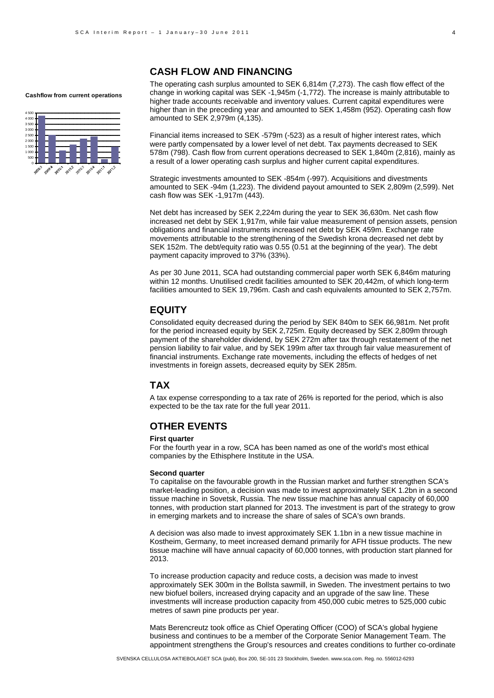#### **Cashflow from current operations**



### **CASH FLOW AND FINANCING**

The operating cash surplus amounted to SEK 6,814m (7,273). The cash flow effect of the change in working capital was SEK -1,945m (-1,772). The increase is mainly attributable to higher trade accounts receivable and inventory values. Current capital expenditures were higher than in the preceding year and amounted to SEK 1,458m (952). Operating cash flow amounted to SEK 2,979m (4,135).

Financial items increased to SEK -579m (-523) as a result of higher interest rates, which were partly compensated by a lower level of net debt. Tax payments decreased to SEK 578m (798). Cash flow from current operations decreased to SEK 1,840m (2,816), mainly as a result of a lower operating cash surplus and higher current capital expenditures.

Strategic investments amounted to SEK -854m (-997). Acquisitions and divestments amounted to SEK -94m (1,223). The dividend payout amounted to SEK 2,809m (2,599). Net cash flow was SEK -1,917m (443).

Net debt has increased by SEK 2,224m during the year to SEK 36,630m. Net cash flow increased net debt by SEK 1,917m, while fair value measurement of pension assets, pension obligations and financial instruments increased net debt by SEK 459m. Exchange rate movements attributable to the strengthening of the Swedish krona decreased net debt by SEK 152m. The debt/equity ratio was 0.55 (0.51 at the beginning of the year). The debt payment capacity improved to 37% (33%).

As per 30 June 2011, SCA had outstanding commercial paper worth SEK 6,846m maturing within 12 months. Unutilised credit facilities amounted to SEK 20,442m, of which long-term facilities amounted to SEK 19,796m. Cash and cash equivalents amounted to SEK 2,757m.

### **EQUITY**

Consolidated equity decreased during the period by SEK 840m to SEK 66,981m. Net profit for the period increased equity by SEK 2,725m. Equity decreased by SEK 2,809m through payment of the shareholder dividend, by SEK 272m after tax through restatement of the net pension liability to fair value, and by SEK 199m after tax through fair value measurement of financial instruments. Exchange rate movements, including the effects of hedges of net investments in foreign assets, decreased equity by SEK 285m.

### **TAX**

A tax expense corresponding to a tax rate of 26% is reported for the period, which is also expected to be the tax rate for the full year 2011.

### **OTHER EVENTS**

#### **First quarter**

For the fourth year in a row, SCA has been named as one of the world's most ethical companies by the Ethisphere Institute in the USA.

#### **Second quarter**

To capitalise on the favourable growth in the Russian market and further strengthen SCA's market-leading position, a decision was made to invest approximately SEK 1.2bn in a second tissue machine in Sovetsk, Russia. The new tissue machine has annual capacity of 60,000 tonnes, with production start planned for 2013. The investment is part of the strategy to grow in emerging markets and to increase the share of sales of SCA's own brands.

A decision was also made to invest approximately SEK 1.1bn in a new tissue machine in Kostheim, Germany, to meet increased demand primarily for AFH tissue products. The new tissue machine will have annual capacity of 60,000 tonnes, with production start planned for 2013.

To increase production capacity and reduce costs, a decision was made to invest approximately SEK 300m in the Bollsta sawmill, in Sweden. The investment pertains to two new biofuel boilers, increased drying capacity and an upgrade of the saw line. These investments will increase production capacity from 450,000 cubic metres to 525,000 cubic metres of sawn pine products per year.

Mats Berencreutz took office as Chief Operating Officer (COO) of SCA's global hygiene business and continues to be a member of the Corporate Senior Management Team. The appointment strengthens the Group's resources and creates conditions to further co-ordinate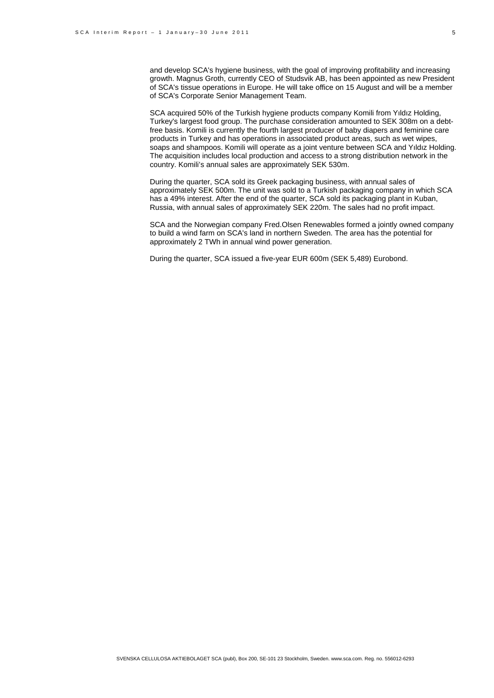and develop SCA's hygiene business, with the goal of improving profitability and increasing growth. Magnus Groth, currently CEO of Studsvik AB, has been appointed as new President of SCA's tissue operations in Europe. He will take office on 15 August and will be a member of SCA's Corporate Senior Management Team.

SCA acquired 50% of the Turkish hygiene products company Komili from Yıldız Holding, Turkey's largest food group. The purchase consideration amounted to SEK 308m on a debtfree basis. Komili is currently the fourth largest producer of baby diapers and feminine care products in Turkey and has operations in associated product areas, such as wet wipes, soaps and shampoos. Komili will operate as a joint venture between SCA and Yıldız Holding. The acquisition includes local production and access to a strong distribution network in the country. Komili's annual sales are approximately SEK 530m.

During the quarter, SCA sold its Greek packaging business, with annual sales of approximately SEK 500m. The unit was sold to a Turkish packaging company in which SCA has a 49% interest. After the end of the quarter, SCA sold its packaging plant in Kuban, Russia, with annual sales of approximately SEK 220m. The sales had no profit impact.

SCA and the Norwegian company Fred.Olsen Renewables formed a jointly owned company to build a wind farm on SCA's land in northern Sweden. The area has the potential for approximately 2 TWh in annual wind power generation.

During the quarter, SCA issued a five-year EUR 600m (SEK 5,489) Eurobond.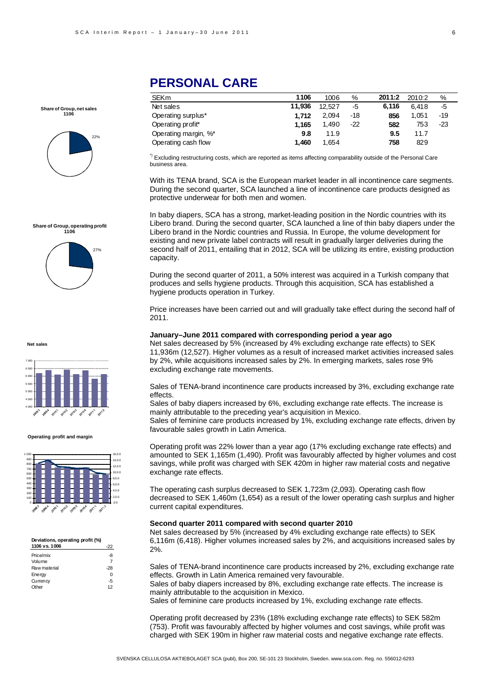**Share of Group, net sales 1106**



### **Share of Group, operating profit 1106**



**Net sal** 



#### **Operating profit and margin**



### **Deviations, operating profit (%)**

| 1106 vs. 1006 |       |
|---------------|-------|
| Price/mix     | -8    |
| Volume        |       |
| Raw material  | $-28$ |
| Energy        | ŋ     |
| Currency      | -5    |
| Other         | 12    |
|               |       |

# **PERSONAL CARE**

| <b>SEKm</b>          | 1106   | 1006   | %     | 2011:2 | 2010:2 | %     |
|----------------------|--------|--------|-------|--------|--------|-------|
| Net sales            | 11.936 | 12.527 | -5    | 6.116  | 6.418  | -5    |
| Operating surplus*   | 1.712  | 2.094  | $-18$ | 856    | 1.051  | $-19$ |
| Operating profit*    | 1.165  | 1.490  | $-22$ | 582    | 753    | $-23$ |
| Operating margin, %* | 9.8    | 11.9   |       | 9.5    | 11.7   |       |
| Operating cash flow  | 1.460  | 1,654  |       | 758    | 829    |       |

\*) Excluding restructuring costs, which are reported as items affecting comparability outside of the Personal Care business area.

With its TENA brand, SCA is the European market leader in all incontinence care segments. During the second quarter, SCA launched a line of incontinence care products designed as protective underwear for both men and women.

In baby diapers, SCA has a strong, market-leading position in the Nordic countries with its Libero brand. During the second quarter, SCA launched a line of thin baby diapers under the Libero brand in the Nordic countries and Russia. In Europe, the volume development for existing and new private label contracts will result in gradually larger deliveries during the second half of 2011, entailing that in 2012, SCA will be utilizing its entire, existing production capacity.

During the second quarter of 2011, a 50% interest was acquired in a Turkish company that produces and sells hygiene products. Through this acquisition, SCA has established a hygiene products operation in Turkey.

Price increases have been carried out and will gradually take effect during the second half of 2011.

#### **January–June 2011 compared with corresponding period a year ago**

Net sales decreased by 5% (increased by 4% excluding exchange rate effects) to SEK 11,936m (12,527). Higher volumes as a result of increased market activities increased sales by 2%, while acquisitions increased sales by 2%. In emerging markets, sales rose 9% excluding exchange rate movements.

Sales of TENA-brand incontinence care products increased by 3%, excluding exchange rate effects.

Sales of baby diapers increased by 6%, excluding exchange rate effects. The increase is mainly attributable to the preceding year's acquisition in Mexico. Sales of feminine care products increased by 1%, excluding exchange rate effects, driven by

favourable sales growth in Latin America.

Operating profit was 22% lower than a year ago (17% excluding exchange rate effects) and amounted to SEK 1,165m (1,490). Profit was favourably affected by higher volumes and cost savings, while profit was charged with SEK 420m in higher raw material costs and negative exchange rate effects.

The operating cash surplus decreased to SEK 1,723m (2,093). Operating cash flow decreased to SEK 1,460m (1,654) as a result of the lower operating cash surplus and higher current capital expenditures.

#### **Second quarter 2011 compared with second quarter 2010**

Net sales decreased by 5% (increased by 4% excluding exchange rate effects) to SEK 6,116m (6,418). Higher volumes increased sales by 2%, and acquisitions increased sales by 2%.

Sales of TENA-brand incontinence care products increased by 2%, excluding exchange rate effects. Growth in Latin America remained very favourable.

Sales of baby diapers increased by 8%, excluding exchange rate effects. The increase is mainly attributable to the acquisition in Mexico.

Sales of feminine care products increased by 1%, excluding exchange rate effects.

Operating profit decreased by 23% (18% excluding exchange rate effects) to SEK 582m (753). Profit was favourably affected by higher volumes and cost savings, while profit was charged with SEK 190m in higher raw material costs and negative exchange rate effects.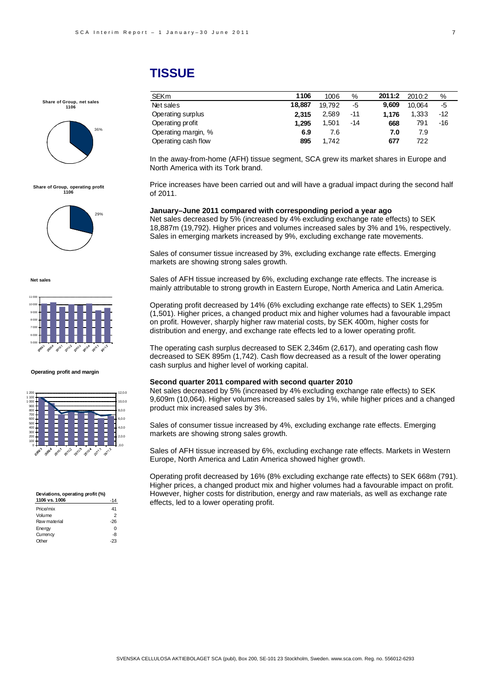# **TISSUE**

### **Share of Group, net sales 1106**



#### **Share of Group, operating profit 1106**



#### **Net sales**



**Operating profit and margin**



| Deviations, operating profit (%) |       |
|----------------------------------|-------|
| 1106 vs. 1006                    | -14   |
| Price/mix                        | 41    |
| Volume                           | 2     |
| Raw material                     | $-26$ |
| Energy                           | U     |
| Currency                         | -8    |
| ∩ther                            |       |
|                                  |       |

| <b>SEKm</b>         | 1106   | 1006   | %     | 2011:2 | 2010:2 | %     |
|---------------------|--------|--------|-------|--------|--------|-------|
| Net sales           | 18,887 | 19.792 | -5    | 9.609  | 10.064 | -5    |
| Operating surplus   | 2.315  | 2.589  | -11   | 1.176  | 1,333  | $-12$ |
| Operating profit    | 1.295  | 1.501  | $-14$ | 668    | 791    | -16   |
| Operating margin, % | 6.9    | 7.6    |       | 7.0    | 7.9    |       |
| Operating cash flow | 895    | 1.742  |       | 677    | 722    |       |

In the away-from-home (AFH) tissue segment, SCA grew its market shares in Europe and North America with its Tork brand.

Price increases have been carried out and will have a gradual impact during the second half of 2011.

**January–June 2011 compared with corresponding period a year ago** 

Net sales decreased by 5% (increased by 4% excluding exchange rate effects) to SEK 18,887m (19,792). Higher prices and volumes increased sales by 3% and 1%, respectively. Sales in emerging markets increased by 9%, excluding exchange rate movements.

Sales of consumer tissue increased by 3%, excluding exchange rate effects. Emerging markets are showing strong sales growth.

Sales of AFH tissue increased by 6%, excluding exchange rate effects. The increase is mainly attributable to strong growth in Eastern Europe, North America and Latin America.

Operating profit decreased by 14% (6% excluding exchange rate effects) to SEK 1,295m (1,501). Higher prices, a changed product mix and higher volumes had a favourable impact on profit. However, sharply higher raw material costs, by SEK 400m, higher costs for distribution and energy, and exchange rate effects led to a lower operating profit.

The operating cash surplus decreased to SEK 2,346m (2,617), and operating cash flow decreased to SEK 895m (1,742). Cash flow decreased as a result of the lower operating cash surplus and higher level of working capital.

#### **Second quarter 2011 compared with second quarter 2010**

Net sales decreased by 5% (increased by 4% excluding exchange rate effects) to SEK 9,609m (10,064). Higher volumes increased sales by 1%, while higher prices and a changed product mix increased sales by 3%.

Sales of consumer tissue increased by 4%, excluding exchange rate effects. Emerging markets are showing strong sales growth.

Sales of AFH tissue increased by 6%, excluding exchange rate effects. Markets in Western Europe, North America and Latin America showed higher growth.

Operating profit decreased by 16% (8% excluding exchange rate effects) to SEK 668m (791). Higher prices, a changed product mix and higher volumes had a favourable impact on profit. However, higher costs for distribution, energy and raw materials, as well as exchange rate effects, led to a lower operating profit.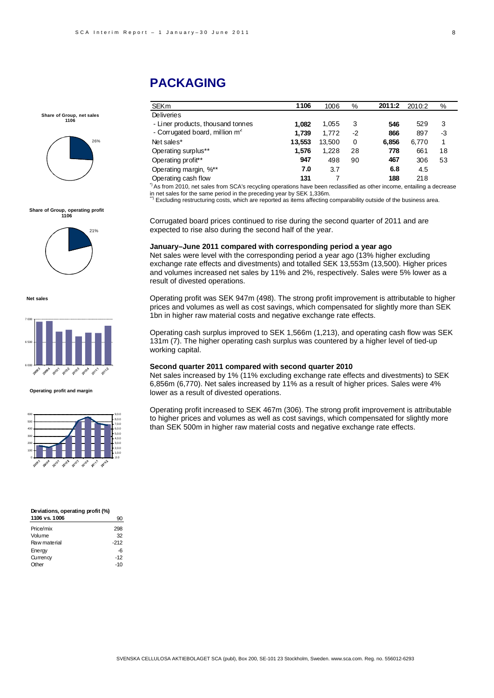#### 8

# **PACKAGING**

| <b>SEKm</b>                                | 1106   | 1006   | %  | 2011:2 | 2010:2 | %  |
|--------------------------------------------|--------|--------|----|--------|--------|----|
| <b>Deliveries</b>                          |        |        |    |        |        |    |
| - Liner products, thousand tonnes          | 1.082  | 1.055  | 3  | 546    | 529    | 3  |
| - Corrugated board, million m <sup>2</sup> | 1.739  | 1.772  | -2 | 866    | 897    | -3 |
| Net sales*                                 | 13.553 | 13,500 | 0  | 6.856  | 6,770  |    |
| Operating surplus**                        | 1.576  | 1.228  | 28 | 778    | 661    | 18 |
| Operating profit**                         | 947    | 498    | 90 | 467    | 306    | 53 |
| Operating margin, %**                      | 7.0    | 3.7    |    | 6.8    | 4.5    |    |
| Operating cash flow                        | 131    |        |    | 188    | 218    |    |

**Share of Group, operating profit 1106**

**Share of Group, net sales 1106**

26%



**Net sales**



**Operating profit and margin**



| Deviations, operating profit (%) |
|----------------------------------|
| 90                               |
| 298                              |
| 32                               |
| $-212$                           |
| -6                               |
| $-12$                            |
| -10                              |
|                                  |

<sup>\*</sup>) As from 2010, net sales from SCA's recycling operations have been reclassified as other income, entailing a decrease in net sales for the same period in the preceding year by SEK 1,336m.<br>\*\*) Excluding restructuring costs, which are reported as items affecting comparability outside of the business area.

Corrugated board prices continued to rise during the second quarter of 2011 and are expected to rise also during the second half of the year.

#### **January–June 2011 compared with corresponding period a year ago**

Net sales were level with the corresponding period a year ago (13% higher excluding exchange rate effects and divestments) and totalled SEK 13,553m (13,500). Higher prices and volumes increased net sales by 11% and 2%, respectively. Sales were 5% lower as a result of divested operations.

Operating profit was SEK 947m (498). The strong profit improvement is attributable to higher prices and volumes as well as cost savings, which compensated for slightly more than SEK 1bn in higher raw material costs and negative exchange rate effects.

Operating cash surplus improved to SEK 1,566m (1,213), and operating cash flow was SEK 131m (7). The higher operating cash surplus was countered by a higher level of tied-up working capital.

#### **Second quarter 2011 compared with second quarter 2010**

Net sales increased by 1% (11% excluding exchange rate effects and divestments) to SEK 6,856m (6,770). Net sales increased by 11% as a result of higher prices. Sales were 4% lower as a result of divested operations.

Operating profit increased to SEK 467m (306). The strong profit improvement is attributable to higher prices and volumes as well as cost savings, which compensated for slightly more than SEK 500m in higher raw material costs and negative exchange rate effects.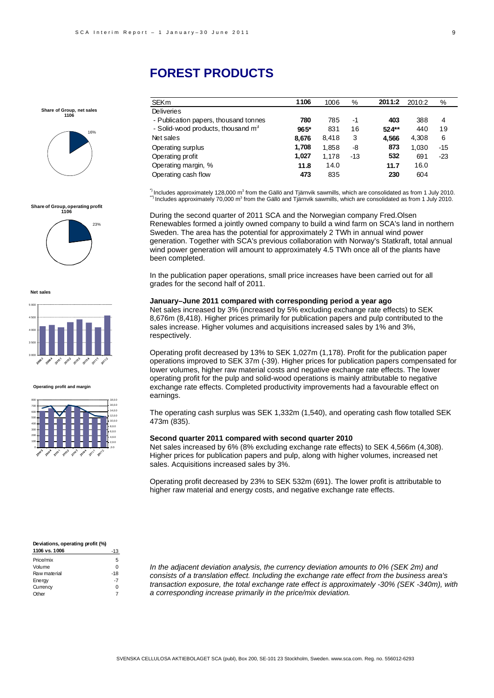#### 9

# **FOREST PRODUCTS**

|  | Share of Group, net sales |  |
|--|---------------------------|--|
|  | 1106                      |  |



### **Share of Group, operating profit 1106**



**Net sales**



#### **Operating profit and margin**



### SEKm **1106** 1006 % **2011:2** 2010:2 % Deliveries - Publication papers, thousand tonnes **780** 785 -1 **403** 388 4 - Solid-wood products, thousand m3 **965\*** 831 16 **524\*\*** 440 19 Net sales **8,676** 8,418 3 **4,566** 4,308 6 Operating surplus **1,708** 1,858 -8 **873** 1,030 -15 Operating profit **1,027** 1,178 -13 **532** 691 -23 Operating margin, % **11.8** 14.0 **11.7** 16.0

Operating cash flow **473** 835 **230** 604

 $^{\circ}$  Includes approximately 128,000 m<sup>3</sup> from the Gällö and Tjärnvik sawmills, which are consolidated as from 1 July 2010.  $^{\circ}$ Includes approximately 128,000 m $^3$  from the Gällö and Tjärnvik sawmills, which are consolidated as from 1 July 2010.<br>") Includes approximately 70,000 m $^3$  from the Gällö and Tjärnvik sawmills, which are consolida

During the second quarter of 2011 SCA and the Norwegian company Fred.Olsen Renewables formed a jointly owned company to build a wind farm on SCA's land in northern Sweden. The area has the potential for approximately 2 TWh in annual wind power generation. Together with SCA's previous collaboration with Norway's Statkraft, total annual wind power generation will amount to approximately 4.5 TWh once all of the plants have been completed.

In the publication paper operations, small price increases have been carried out for all grades for the second half of 2011.

#### **January–June 2011 compared with corresponding period a year ago**

Net sales increased by 3% (increased by 5% excluding exchange rate effects) to SEK 8,676m (8,418). Higher prices primarily for publication papers and pulp contributed to the sales increase. Higher volumes and acquisitions increased sales by 1% and 3%, respectively.

Operating profit decreased by 13% to SEK 1,027m (1,178). Profit for the publication paper operations improved to SEK 37m (-39). Higher prices for publication papers compensated for lower volumes, higher raw material costs and negative exchange rate effects. The lower operating profit for the pulp and solid-wood operations is mainly attributable to negative exchange rate effects. Completed productivity improvements had a favourable effect on earnings.

The operating cash surplus was SEK 1,332m (1,540), and operating cash flow totalled SEK 473m (835).

#### **Second quarter 2011 compared with second quarter 2010**

Net sales increased by 6% (8% excluding exchange rate effects) to SEK 4,566m (4,308). Higher prices for publication papers and pulp, along with higher volumes, increased net sales. Acquisitions increased sales by 3%.

Operating profit decreased by 23% to SEK 532m (691). The lower profit is attributable to higher raw material and energy costs, and negative exchange rate effects.

#### **Deviations, operating profit (%) 1106 vs. 1006** -13

|              | - 13  |
|--------------|-------|
| Price/mix    | 5     |
| Volume       | O     |
| Raw material | $-18$ |
| Energy       | $-7$  |
| Currency     | O     |
| Other        |       |

*In the adjacent deviation analysis, the currency deviation amounts to 0% (SEK 2m) and consists of a translation effect. Including the exchange rate effect from the business area's transaction exposure, the total exchange rate effect is approximately -30% (SEK -340m), with a corresponding increase primarily in the price/mix deviation.*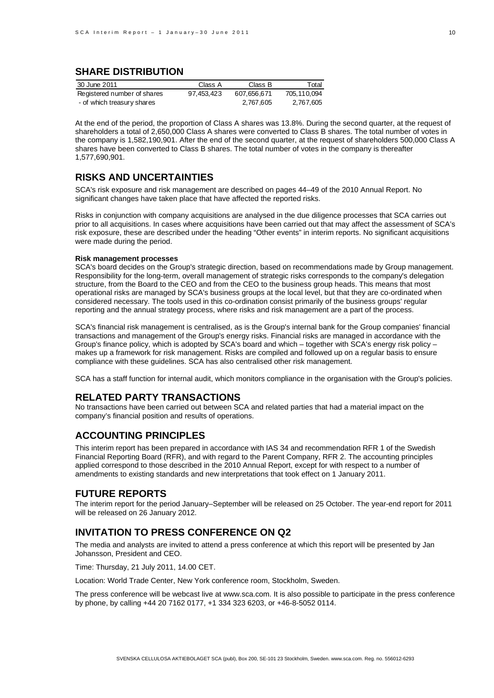### **SHARE DISTRIBUTION**

| 30 June 2011                | Class A    | Class B     | Total         |
|-----------------------------|------------|-------------|---------------|
| Registered number of shares | 97.453.423 | 607.656.671 | 705, 110, 094 |
| - of which treasury shares  |            | 2.767.605   | 2,767,605     |

At the end of the period, the proportion of Class A shares was 13.8%. During the second quarter, at the request of shareholders a total of 2,650,000 Class A shares were converted to Class B shares. The total number of votes in the company is 1,582,190,901. After the end of the second quarter, at the request of shareholders 500,000 Class A shares have been converted to Class B shares. The total number of votes in the company is thereafter 1,577,690,901.

### **RISKS AND UNCERTAINTIES**

SCA's risk exposure and risk management are described on pages 44–49 of the 2010 Annual Report. No significant changes have taken place that have affected the reported risks.

Risks in conjunction with company acquisitions are analysed in the due diligence processes that SCA carries out prior to all acquisitions. In cases where acquisitions have been carried out that may affect the assessment of SCA's risk exposure, these are described under the heading "Other events" in interim reports. No significant acquisitions were made during the period.

#### **Risk management processes**

SCA's board decides on the Group's strategic direction, based on recommendations made by Group management. Responsibility for the long-term, overall management of strategic risks corresponds to the company's delegation structure, from the Board to the CEO and from the CEO to the business group heads. This means that most operational risks are managed by SCA's business groups at the local level, but that they are co-ordinated when considered necessary. The tools used in this co-ordination consist primarily of the business groups' regular reporting and the annual strategy process, where risks and risk management are a part of the process.

SCA's financial risk management is centralised, as is the Group's internal bank for the Group companies' financial transactions and management of the Group's energy risks. Financial risks are managed in accordance with the Group's finance policy, which is adopted by SCA's board and which – together with SCA's energy risk policy – makes up a framework for risk management. Risks are compiled and followed up on a regular basis to ensure compliance with these guidelines. SCA has also centralised other risk management.

SCA has a staff function for internal audit, which monitors compliance in the organisation with the Group's policies.

### **RELATED PARTY TRANSACTIONS**

No transactions have been carried out between SCA and related parties that had a material impact on the company's financial position and results of operations.

### **ACCOUNTING PRINCIPLES**

This interim report has been prepared in accordance with IAS 34 and recommendation RFR 1 of the Swedish Financial Reporting Board (RFR), and with regard to the Parent Company, RFR 2. The accounting principles applied correspond to those described in the 2010 Annual Report, except for with respect to a number of amendments to existing standards and new interpretations that took effect on 1 January 2011.

### **FUTURE REPORTS**

The interim report for the period January–September will be released on 25 October. The year-end report for 2011 will be released on 26 January 2012.

### **INVITATION TO PRESS CONFERENCE ON Q2**

The media and analysts are invited to attend a press conference at which this report will be presented by Jan Johansson, President and CEO.

Time: Thursday, 21 July 2011, 14.00 CET.

Location: World Trade Center, New York conference room, Stockholm, Sweden.

The press conference will be webcast live at www.sca.com. It is also possible to participate in the press conference by phone, by calling +44 20 7162 0177, +1 334 323 6203, or +46-8-5052 0114.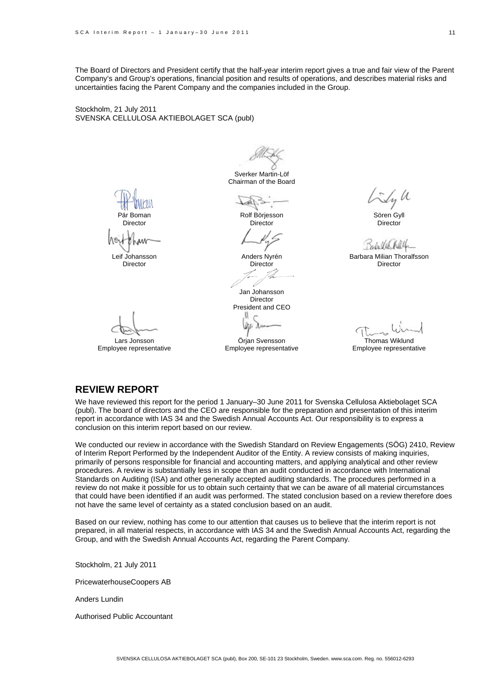The Board of Directors and President certify that the half-year interim report gives a true and fair view of the Parent Company's and Group's operations, financial position and results of operations, and describes material risks and uncertainties facing the Parent Company and the companies included in the Group.

Stockholm, 21 July 2011 SVENSKA CELLULOSA AKTIEBOLAGET SCA (publ)

Sverker Martin-Löf Chairman of the Board

Pär Boman

**Director** 

Leif Johansson

Director

Lars Jonsson Employee representative

tal Rolf Börjesson

**Director** 

Anders Nyrén Director

Jan Johansson Director President and CEO U

Örjan Svensson Employee representative

Sören Gyll **Director** 

Sada Vil

Barbara Milian Thoralfsson Director

Thomas Wiklund Employee representative

### **REVIEW REPORT**

We have reviewed this report for the period 1 January–30 June 2011 for Svenska Cellulosa Aktiebolaget SCA (publ). The board of directors and the CEO are responsible for the preparation and presentation of this interim report in accordance with IAS 34 and the Swedish Annual Accounts Act. Our responsibility is to express a conclusion on this interim report based on our review.

We conducted our review in accordance with the Swedish Standard on Review Engagements (SÖG) 2410, Review of Interim Report Performed by the Independent Auditor of the Entity. A review consists of making inquiries, primarily of persons responsible for financial and accounting matters, and applying analytical and other review procedures. A review is substantially less in scope than an audit conducted in accordance with International Standards on Auditing (ISA) and other generally accepted auditing standards. The procedures performed in a review do not make it possible for us to obtain such certainty that we can be aware of all material circumstances that could have been identified if an audit was performed. The stated conclusion based on a review therefore does not have the same level of certainty as a stated conclusion based on an audit.

Based on our review, nothing has come to our attention that causes us to believe that the interim report is not prepared, in all material respects, in accordance with IAS 34 and the Swedish Annual Accounts Act, regarding the Group, and with the Swedish Annual Accounts Act, regarding the Parent Company.

Stockholm, 21 July 2011

PricewaterhouseCoopers AB

Anders Lundin

Authorised Public Accountant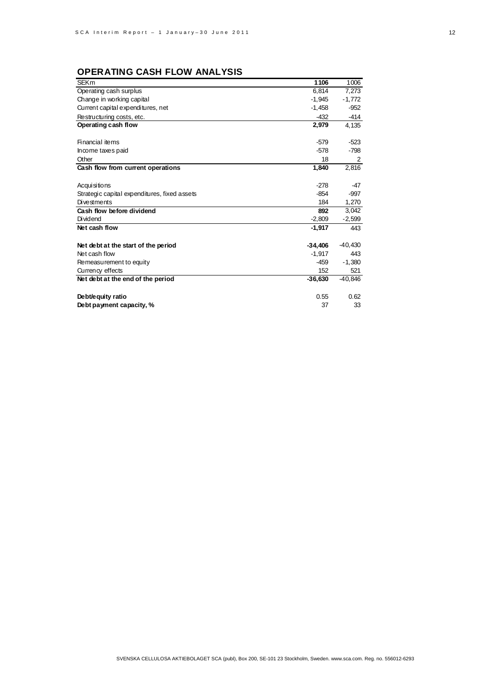# **OPERATING CASH FLOW ANALYSIS**

| <b>SEKm</b>                                  | 1106      | 1006      |
|----------------------------------------------|-----------|-----------|
| Operating cash surplus                       | 6.814     | 7,273     |
| Change in working capital                    | $-1,945$  | $-1,772$  |
| Current capital expenditures, net            | $-1,458$  | $-952$    |
| Restructuring costs, etc.                    | $-432$    | -414      |
| Operating cash flow                          | 2,979     | 4,135     |
|                                              |           |           |
| Financial items                              | $-579$    | $-523$    |
| Income taxes paid                            | $-578$    | -798      |
| Other                                        | 18        | 2         |
| Cash flow from current operations            | 1,840     | 2,816     |
|                                              |           |           |
| <b>Acquisitions</b>                          | $-278$    | $-47$     |
| Strategic capital expenditures, fixed assets | $-854$    | $-997$    |
| Divestments                                  | 184       | 1,270     |
| Cash flow before dividend                    | 892       | 3,042     |
| <b>Dividend</b>                              | $-2,809$  | $-2,599$  |
| Net cash flow                                | $-1,917$  | 443       |
|                                              |           |           |
| Net debt at the start of the period          | $-34.406$ | -40,430   |
| Net cash flow                                | $-1,917$  | 443       |
| Remeasurement to equity                      | -459      | $-1.380$  |
| Currency effects                             | 152       | 521       |
| Net debt at the end of the period            | $-36.630$ | $-40.846$ |
|                                              |           |           |
| Debt/equity ratio                            | 0.55      | 0.62      |
| Debt payment capacity, %                     | 37        | 33        |
|                                              |           |           |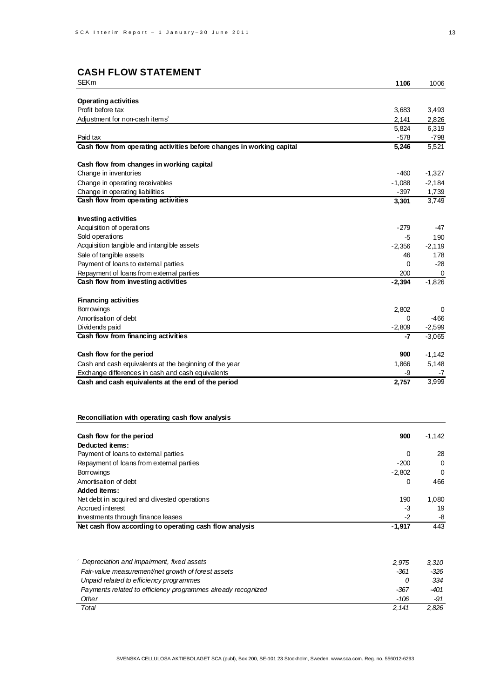| <b>SEKm</b>                                                           | 1106           | 1006           |
|-----------------------------------------------------------------------|----------------|----------------|
|                                                                       |                |                |
| <b>Operating activities</b>                                           |                |                |
| Profit before tax                                                     | 3,683          | 3,493          |
| Adjustment for non-cash items <sup>1</sup>                            | 2,141<br>5,824 | 2,826<br>6,319 |
| Paid tax                                                              | $-578$         | -798           |
| Cash flow from operating activities before changes in working capital | 5,246          | 5,521          |
|                                                                       |                |                |
| Cash flow from changes in working capital                             |                |                |
| Change in inventories                                                 | -460           | $-1,327$       |
| Change in operating receivables                                       | $-1,088$       | $-2,184$       |
| Change in operating liabilities                                       | -397           | 1,739          |
| Cash flow from operating activities                                   | 3,301          | 3,749          |
| <b>Investing activities</b>                                           |                |                |
| Acquisition of operations                                             | $-279$         | -47            |
| Sold operations                                                       | -5             | 190            |
| Acquisition tangible and intangible assets                            | $-2,356$       | $-2,119$       |
| Sale of tangible assets                                               | 46             | 178            |
| Payment of loans to external parties                                  | 0              | -28            |
| Repayment of loans from external parties                              | 200            | 0              |
| Cash flow from investing activities                                   | $-2,394$       | $-1,826$       |
|                                                                       |                |                |
| <b>Financing activities</b>                                           |                |                |
| <b>Borrowings</b>                                                     | 2,802          | 0              |
| Amortisation of debt                                                  | 0              | $-466$         |
| Dividends paid                                                        | $-2,809$       | $-2,599$       |
| Cash flow from financing activities                                   | -7             | $-3,065$       |
| Cash flow for the period                                              | 900            | $-1,142$       |
| Cash and cash equivalents at the beginning of the year                | 1,866          | 5,148          |
| Exchange differences in cash and cash equivalents                     | -9             | -7             |
| Cash and cash equivalents at the end of the period                    | 2,757          | 3,999          |
|                                                                       |                |                |
|                                                                       |                |                |
| Reconciliation with operating cash flow analysis                      |                |                |
|                                                                       |                |                |
| Cash flow for the period                                              | 900            | $-1,142$       |
| Deducted items:                                                       |                |                |
| Payment of loans to external parties                                  | 0              | 28             |
| Repayment of loans from external parties                              | $-200$         | 0              |
| Borrowings                                                            | $-2,802$       | $\mathbf 0$    |
| Amortisation of debt                                                  | 0              | 466            |
| <b>Added items:</b>                                                   |                |                |
| Net debt in acquired and divested operations                          | 190            | 1,080          |
| Accrued interest<br>Investments through finance leases                | -3<br>-2       | 19<br>-8       |
| Net cash flow according to operating cash flow analysis               | $-1,917$       | 443            |
|                                                                       |                |                |
|                                                                       |                |                |
| Depreciation and impairment, fixed assets                             | 2,975          | 3,310          |
| Fair-value measurement/net growth of forest assets                    | -361           | -326           |
| Unpaid related to efficiency programmes                               | 0              | 334            |
| Payments related to efficiency programmes already recognized          | -367           | -401           |
| Other                                                                 | $-106$         | -91            |

SVENSKA CELLULOSA AKTIEBOLAGET SCA (publ), Box 200, SE-101 23 Stockholm, Sweden. www.sca.com. Reg. no. 556012-6293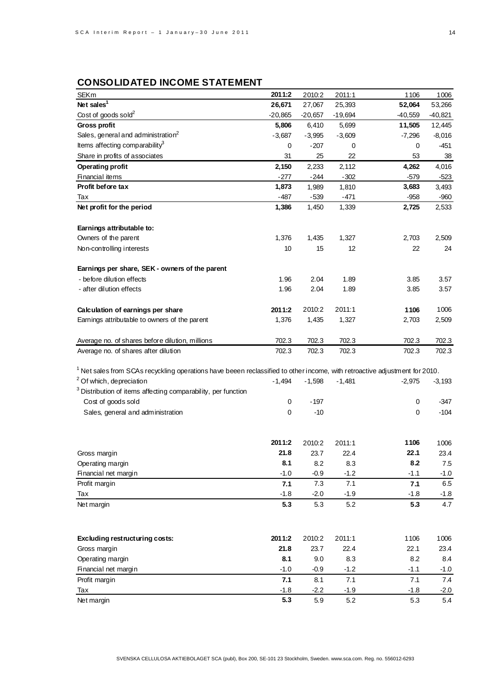# **CONSOLIDATED INCOME STATEMENT**

| <b>SEKm</b>                                                                                                                  | 2011:2    | 2010:2    | 2011:1    | 1106        | 1006      |
|------------------------------------------------------------------------------------------------------------------------------|-----------|-----------|-----------|-------------|-----------|
| Net sales <sup>1</sup>                                                                                                       | 26,671    | 27,067    | 25,393    | 52,064      | 53,266    |
| Cost of goods sold <sup>2</sup>                                                                                              | $-20,865$ | $-20,657$ | $-19,694$ | $-40,559$   | $-40,821$ |
| <b>Gross profit</b>                                                                                                          | 5,806     | 6,410     | 5,699     | 11,505      | 12,445    |
| Sales, general and administration <sup>2</sup>                                                                               | $-3,687$  | $-3,995$  | $-3,609$  | $-7,296$    | $-8,016$  |
| Items affecting comparability $3$                                                                                            | 0         | $-207$    | 0         | 0           | $-451$    |
| Share in profits of associates                                                                                               | 31        | 25        | 22        | 53          | 38        |
| <b>Operating profit</b>                                                                                                      | 2,150     | 2,233     | 2,112     | 4,262       | 4,016     |
| Financial items                                                                                                              | $-277$    | $-244$    | $-302$    | $-579$      | $-523$    |
| Profit before tax                                                                                                            | 1,873     | 1,989     | 1,810     | 3,683       | 3,493     |
| Тах                                                                                                                          | $-487$    | $-539$    | $-471$    | $-958$      | $-960$    |
| Net profit for the period                                                                                                    | 1,386     | 1,450     | 1,339     | 2,725       | 2,533     |
|                                                                                                                              |           |           |           |             |           |
| Earnings attributable to:                                                                                                    |           |           |           |             |           |
| Owners of the parent                                                                                                         | 1,376     | 1,435     | 1,327     | 2,703       | 2,509     |
| Non-controlling interests                                                                                                    | 10        | 15        | 12        | 22          | 24        |
|                                                                                                                              |           |           |           |             |           |
| Earnings per share, SEK - owners of the parent                                                                               |           |           |           |             |           |
| - before dilution effects                                                                                                    | 1.96      | 2.04      | 1.89      | 3.85        | 3.57      |
| - after dilution effects                                                                                                     | 1.96      | 2.04      | 1.89      | 3.85        | 3.57      |
|                                                                                                                              |           |           |           |             |           |
| Calculation of earnings per share                                                                                            | 2011:2    | 2010:2    | 2011:1    | 1106        | 1006      |
| Earnings attributable to owners of the parent                                                                                | 1,376     | 1,435     | 1,327     | 2,703       | 2,509     |
|                                                                                                                              |           |           |           |             |           |
| Average no. of shares before dilution, millions                                                                              | 702.3     | 702.3     | 702.3     | 702.3       | 702.3     |
| Average no. of shares after dilution                                                                                         | 702.3     | 702.3     | 702.3     | 702.3       | 702.3     |
|                                                                                                                              |           |           |           |             |           |
| $1$ Net sales from SCAs recyckling operations have beeen reclassified to other income, with retroactive adjustment for 2010. |           |           |           |             |           |
| <sup>2</sup> Of which, depreciation                                                                                          | $-1,494$  | $-1,598$  | $-1,481$  | $-2,975$    | $-3,193$  |
| <sup>3</sup> Distribution of items affecting comparability, per function                                                     |           |           |           |             |           |
| Cost of goods sold                                                                                                           | 0         | $-197$    |           | 0           | -347      |
| Sales, general and administration                                                                                            | 0         | $-10$     |           | $\mathbf 0$ | $-104$    |
|                                                                                                                              |           |           |           |             |           |
|                                                                                                                              |           |           |           |             |           |
|                                                                                                                              | 2011:2    | 2010:2    | 2011:1    | 1106        | 1006      |
| Gross margin                                                                                                                 | 21.8      | 23.7      | 22.4      | 22.1        | 23.4      |
| Operating margin                                                                                                             | 8.1       | 8.2       | 8.3       | 8.2         | 7.5       |
| Financial net margin                                                                                                         | $-1.0$    | $-0.9$    | $-1.2$    | $-1.1$      | $-1.0$    |
| Profit margin                                                                                                                | 7.1       | 7.3       | 7.1       | 7.1         | $6.5\,$   |
| Tax                                                                                                                          | $-1.8$    | $-2.0$    | $-1.9$    | $-1.8$      | $-1.8$    |
| Net margin                                                                                                                   | 5.3       | 5.3       | 5.2       | 5.3         | 4.7       |
|                                                                                                                              |           |           |           |             |           |
|                                                                                                                              |           |           |           |             |           |
|                                                                                                                              |           |           |           |             |           |
| Excluding restructuring costs:                                                                                               | 2011:2    | 2010:2    | 2011:1    | 1106        | 1006      |
| Gross margin                                                                                                                 | 21.8      | 23.7      | 22.4      | 22.1        | 23.4      |
| Operating margin                                                                                                             | 8.1       | 9.0       | 8.3       | 8.2         | 8.4       |
| Financial net margin                                                                                                         | $-1.0$    | $-0.9$    | $-1.2$    | $-1.1$      | $-1.0$    |
| Profit margin                                                                                                                | 7.1       | 8.1       | 7.1       | 7.1         | 7.4       |
| Tax                                                                                                                          | $-1.8$    | $-2.2$    | $-1.9$    | $-1.8$      | $-2.0$    |
| Net margin                                                                                                                   | 5.3       | 5.9       | 5.2       | 5.3         | 5.4       |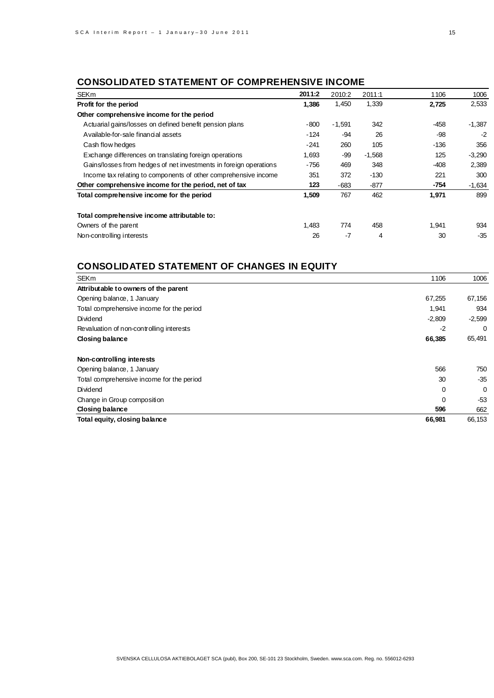# **CONSOLIDATED STATEMENT OF COMPREHENSIVE INCOME**

| <b>SEKm</b>                                                       | 2011:2 | 2010:2   | 2011:1   | 1106   | 1006     |
|-------------------------------------------------------------------|--------|----------|----------|--------|----------|
| Profit for the period                                             | 1,386  | 1,450    | 1,339    | 2,725  | 2,533    |
| Other comprehensive income for the period                         |        |          |          |        |          |
| Actuarial gains/losses on defined benefit pension plans           | -800   | $-1,591$ | 342      | $-458$ | $-1,387$ |
| Available-for-sale financial assets                               | $-124$ | -94      | 26       | -98    | $-2$     |
| Cash flow hedges                                                  | $-241$ | 260      | 105      | $-136$ | 356      |
| Exchange differences on translating foreign operations            | 1,693  | -99      | $-1,568$ | 125    | $-3,290$ |
| Gains/losses from hedges of net investments in foreign operations | $-756$ | 469      | 348      | $-408$ | 2,389    |
| Income tax relating to components of other comprehensive income   | 351    | 372      | $-130$   | 221    | 300      |
| Other comprehensive income for the period, net of tax             | 123    | -683     | $-877$   | $-754$ | $-1,634$ |
| Total comprehensive income for the period                         | 1,509  | 767      | 462      | 1,971  | 899      |
| Total comprehensive income attributable to:                       |        |          |          |        |          |
| Owners of the parent                                              | 1,483  | 774      | 458      | 1,941  | 934      |
| Non-controlling interests                                         | 26     | -7       | 4        | 30     | $-35$    |

# **CONSOLIDATED STATEMENT OF CHANGES IN EQUITY**

| <b>SEKm</b>                               | 1106     | 1006     |
|-------------------------------------------|----------|----------|
| Attributable to owners of the parent      |          |          |
| Opening balance, 1 January                | 67,255   | 67,156   |
| Total comprehensive income for the period | 1,941    | 934      |
| Dividend                                  | $-2,809$ | $-2,599$ |
| Revaluation of non-controlling interests  | $-2$     | 0        |
| Closing balance                           | 66,385   | 65,491   |
| Non-controlling interests                 |          |          |
| Opening balance, 1 January                | 566      | 750      |
| Total comprehensive income for the period | 30       | $-35$    |
| Dividend                                  | 0        | 0        |
| Change in Group composition               | 0        | $-53$    |
| Closing balance                           | 596      | 662      |
| Total equity, closing balance             | 66,981   | 66,153   |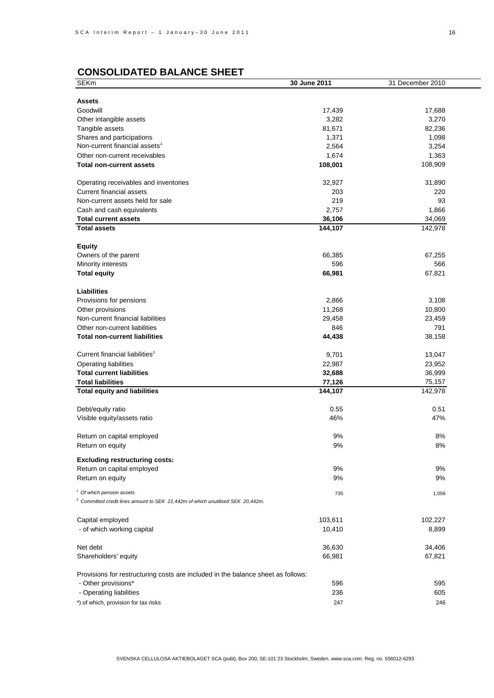# **CONSOLIDATED BALANCE SHEET**

| <b>SEKm</b>                                                                                | 30 June 2011 | 31 December 2010 |
|--------------------------------------------------------------------------------------------|--------------|------------------|
|                                                                                            |              |                  |
| <b>Assets</b>                                                                              |              |                  |
| Goodwill                                                                                   | 17,439       | 17,688           |
| Other intangible assets                                                                    | 3,282        | 3,270            |
| Tangible assets                                                                            | 81,671       | 82,236           |
| Shares and participations                                                                  | 1,371        | 1,098            |
| Non-current financial assets <sup>1</sup>                                                  | 2,564        | 3,254            |
|                                                                                            |              |                  |
| Other non-current receivables                                                              | 1,674        | 1,363            |
| <b>Total non-current assets</b>                                                            | 108,001      | 108,909          |
|                                                                                            |              |                  |
| Operating receivables and inventories                                                      | 32,927       | 31,890           |
| <b>Current financial assets</b>                                                            | 203          | 220              |
| Non-current assets held for sale                                                           | 219          | 93               |
| Cash and cash equivalents                                                                  | 2,757        | 1,866            |
| <b>Total current assets</b>                                                                | 36,106       | 34,069           |
| <b>Total assets</b>                                                                        | 144,107      | 142,978          |
|                                                                                            |              |                  |
| <b>Equity</b>                                                                              |              |                  |
| Owners of the parent                                                                       | 66,385       | 67,255           |
| Minority interests                                                                         | 596          | 566              |
| <b>Total equity</b>                                                                        | 66,981       | 67,821           |
|                                                                                            |              |                  |
| <b>Liabilities</b>                                                                         |              |                  |
| Provisions for pensions                                                                    | 2,866        | 3,108            |
| Other provisions                                                                           | 11,268       | 10,800           |
| Non-current financial liabilities                                                          | 29,458       | 23,459           |
| Other non-current liabilities                                                              | 846          | 791              |
| <b>Total non-current liabilities</b>                                                       | 44,438       | 38,158           |
|                                                                                            |              |                  |
| Current financial liabilities <sup>2</sup>                                                 | 9,701        | 13,047           |
| Operating liabilities                                                                      | 22,987       | 23,952           |
| <b>Total current liabilities</b>                                                           | 32,688       | 36,999           |
| <b>Total liabilities</b>                                                                   | 77,126       | 75,157           |
| <b>Total equity and liabilities</b>                                                        | 144,107      | 142,978          |
|                                                                                            |              |                  |
| Debt/equity ratio                                                                          | 0.55         | 0.51             |
| Visible equity/assets ratio                                                                | 46%          | 47%              |
| Return on capital employed                                                                 | 9%           | 8%               |
|                                                                                            | 9%           |                  |
| Return on equity                                                                           |              | 8%               |
| <b>Excluding restructuring costs:</b>                                                      |              |                  |
| Return on capital employed                                                                 | 9%           | 9%               |
| Return on equity                                                                           | 9%           | 9%               |
|                                                                                            |              |                  |
| <sup>1</sup> Of which pension assets                                                       | 735          | 1,056            |
| <sup>2</sup> Committed credit lines amount to SEK 21,442m of which unutilised SEK 20,442m. |              |                  |
|                                                                                            |              |                  |
| Capital employed                                                                           | 103,611      | 102,227          |
| - of which working capital                                                                 | 10,410       | 8,899            |
|                                                                                            |              |                  |
| Net debt                                                                                   | 36,630       | 34,406           |
| Shareholders' equity                                                                       | 66,981       | 67,821           |
| Provisions for restructuring costs are included in the balance sheet as follows:           |              |                  |
| - Other provisions*                                                                        | 596          | 595              |
|                                                                                            |              |                  |
| - Operating liabilities                                                                    | 236          | 605              |
| *) of which, provision for tax risks                                                       | 247          | 246              |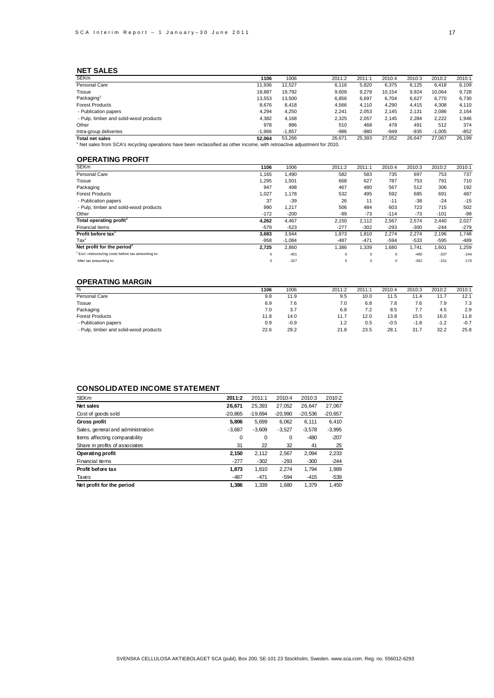### **NET SALES**

| <b>SEKm</b>                            | 1106                                                                                                                         | 1006     | 2011:2 | 2011:1 | 2010:4 | 2010:3 | 2010:2   | 2010:1 |
|----------------------------------------|------------------------------------------------------------------------------------------------------------------------------|----------|--------|--------|--------|--------|----------|--------|
| Personal Care                          | 11.936                                                                                                                       | 12.527   | 6.116  | 5.820  | 6.375  | 6.125  | 6.418    | 6,109  |
| Tissue                                 | 18.887                                                                                                                       | 19.792   | 9,609  | 9.278  | 10.154 | 9,924  | 10.064   | 9,728  |
| Packaging <sup>1</sup>                 | 13.553                                                                                                                       | 13,500   | 6.856  | 6.697  | 6.704  | 6,627  | 6,770    | 6,730  |
| <b>Forest Products</b>                 | 8.676                                                                                                                        | 8,418    | 4,566  | 4.110  | 4,290  | 4,415  | 4,308    | 4,110  |
| - Publication papers                   | 4.294                                                                                                                        | 4,250    | 2,241  | 2.053  | 2.145  | 2,131  | 2,086    | 2.164  |
| - Pulp, timber and solid-wood products | 4.382                                                                                                                        | 4.168    | 2,325  | 2.057  | 2.145  | 2,284  | 2.222    | 1.946  |
| Other                                  | 978                                                                                                                          | 886      | 510    | 468    | 478    | 491    | 512      | 374    |
| Intra-group deliveries                 | $-1.966$                                                                                                                     | $-1.857$ | $-986$ | $-980$ | $-949$ | $-935$ | $-1.005$ | $-852$ |
| <b>Total net sales</b>                 | 52.064                                                                                                                       | 53.266   | 26.671 | 25.393 | 27.052 | 26.647 | 27.067   | 26.199 |
|                                        | $\mu$ Not caloe from SCA's requaling operations baye been reclassified as other income, with retroactive adjustment for 2010 |          |        |        |        |        |          |        |

<sup>1</sup> Net sales from SCA's recycling operations have been reclassified as other income, with retroactive adjustment for 2010.

### **OPERATING PROFIT**

| <b>SEKm</b>                                        | 1106        | 1006     | 2011:2      | 2011:1     | 2010:4      | 2010:3 | 2010:2 | 2010:1 |
|----------------------------------------------------|-------------|----------|-------------|------------|-------------|--------|--------|--------|
| Personal Care                                      | 1.165       | 1,490    | 582         | 583        | 735         | 697    | 753    | 737    |
| <b>Tissue</b>                                      | 1,295       | 1,501    | 668         | 627        | 787         | 753    | 791    | 710    |
| Packaging                                          | 947         | 498      | 467         | 480        | 567         | 512    | 306    | 192    |
| <b>Forest Products</b>                             | 1.027       | 1.178    | 532         | 495        | 592         | 685    | 691    | 487    |
| - Publication papers                               | 37          | $-39$    | 26          | 11         | $-11$       | $-38$  | $-24$  | $-15$  |
| - Pulp, timber and solid-wood products             | 990         | 1,217    | 506         | 484        | 603         | 723    | 715    | 502    |
| Other                                              | $-172$      | $-200$   | -99         | $-73$      | $-114$      | $-73$  | $-101$ | $-99$  |
| Total operating profit <sup>1</sup>                | 4,262       | 4,467    | 2,150       | 2,112      | 2,567       | 2,574  | 2,440  | 2,027  |
| Financial items                                    | $-579$      | $-523$   | $-277$      | $-302$     | $-293$      | $-300$ | $-244$ | $-279$ |
| Profit before tax <sup>1</sup>                     | 3.683       | 3,944    | 1.873       | 1.810      | 2.274       | 2,274  | 2,196  | 1,748  |
| $\text{Tax}^1$                                     | $-958$      | $-1,084$ | $-487$      | $-471$     | $-594$      | $-533$ | $-595$ | $-489$ |
| Net profit for the period <sup>1</sup>             | 2.725       | 2,860    | 1,386       | 1,339      | 1,680       | 1,741  | 1,601  | 1,259  |
| Excl. restructuring costs before tax amounting to: | $\mathbf 0$ | $-451$   | $\mathbf 0$ | $^{\circ}$ | $\circ$     | $-480$ | $-207$ | $-244$ |
| After tax amounting to:                            | $\Omega$    | $-327$   |             | $^{\circ}$ | $\mathbf 0$ | $-362$ | $-151$ | $-176$ |
|                                                    |             |          |             |            |             |        |        |        |

### **OPERATING MARGIN**

| %                                      | 1106 | 1006   | 2011:2 | 2011:1 | 2010:4 | 2010:3 | 2010:2 | 2010:1 |
|----------------------------------------|------|--------|--------|--------|--------|--------|--------|--------|
| Personal Care                          | 9.8  | 11.9   | 9.5    | 10.0   | 11.5   | 11.4   | 11.7   | 12.1   |
| Tissue                                 | 6.9  | 7.6    | 7.0    | 6.8    | 7.8    | 7.6    | 7.9    | 7.3    |
| Packaging                              | 7.0  | 3.7    | 6.8    | 7.2    | 8.5    | 7.7    | 4.5    | 2.9    |
| <b>Forest Products</b>                 | 11.8 | 14.0   | 11.7   | 12.0   | 13.8   | 15.5   | 16.0   | 11.8   |
| - Publication papers                   | 0.9  | $-0.9$ |        | 0.5    | $-0.5$ | $-1.8$ | $-1.2$ | $-0.7$ |
| - Pulp, timber and solid-wood products | 22.6 | 29.2   | 21.8   | 23.5   | 28.1   | 31.7   | 32.2   | 25.8   |
|                                        |      |        |        |        |        |        |        |        |

### **CONSOLIDATED INCOME STATEMENT**

| <b>SEKm</b>                       | 2011:2    | 2011:1    | 2010:4    | 2010:3    | 2010:2    |
|-----------------------------------|-----------|-----------|-----------|-----------|-----------|
| Net sales                         | 26.671    | 25,393    | 27,052    | 26.647    | 27,067    |
| Cost of goods sold                | $-20.865$ | $-19.694$ | $-20.990$ | $-20.536$ | $-20,657$ |
| <b>Gross profit</b>               | 5.806     | 5,699     | 6,062     | 6.111     | 6.410     |
| Sales, general and administration | $-3,687$  | $-3,609$  | $-3,527$  | $-3,578$  | $-3,995$  |
| Items affecting comparability     | 0         | 0         | 0         | $-480$    | $-207$    |
| Share in profits of associates    | 31        | 22        | 32        | 41        | 25        |
| Operating profit                  | 2,150     | 2.112     | 2,567     | 2.094     | 2,233     |
| Financial items                   | $-277$    | $-302$    | $-293$    | $-300$    | $-244$    |
| Profit before tax                 | 1.873     | 1,810     | 2.274     | 1.794     | 1,989     |
| Taxes                             | $-487$    | $-471$    | $-594$    | $-415$    | $-539$    |
| Net profit for the period         | 1.386     | 1.339     | 1.680     | 1.379     | 1.450     |